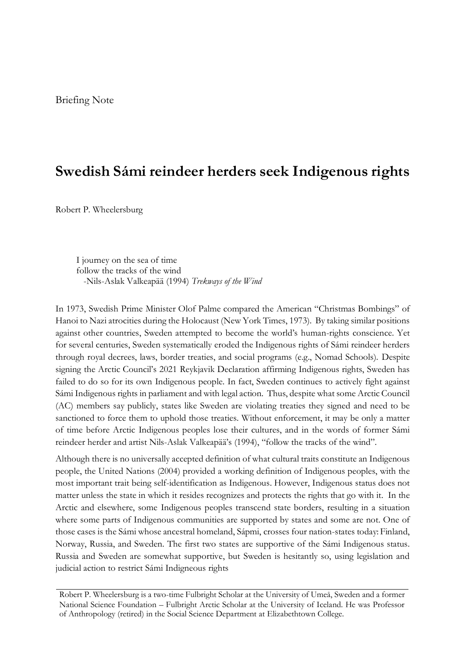## **Swedish Sámi reindeer herders seek Indigenous rights**

Robert P. Wheelersburg

I journey on the sea of time follow the tracks of the wind -Nils-Aslak Valkeapää (1994) *Trekways of the Wind*

In 1973, Swedish Prime Minister Olof Palme compared the American "Christmas Bombings" of Hanoi to Nazi atrocities during the Holocaust (New York Times, 1973). By taking similar positions against other countries, Sweden attempted to become the world's human-rights conscience. Yet for several centuries, Sweden systematically eroded the Indigenous rights of Sámi reindeer herders through royal decrees, laws, border treaties, and social programs (e.g., Nomad Schools). Despite signing the Arctic Council's 2021 Reykjavik Declaration affirming Indigenous rights, Sweden has failed to do so for its own Indigenous people. In fact, Sweden continues to actively fight against Sámi Indigenous rights in parliament and with legal action. Thus, despite what some Arctic Council (AC) members say publicly, states like Sweden are violating treaties they signed and need to be sanctioned to force them to uphold those treaties. Without enforcement, it may be only a matter of time before Arctic Indigenous peoples lose their cultures, and in the words of former Sámi reindeer herder and artist Nils-Aslak Valkeapää's (1994), "follow the tracks of the wind".

Although there is no universally accepted definition of what cultural traits constitute an Indigenous people, the United Nations (2004) provided a working definition of Indigenous peoples, with the most important trait being self-identification as Indigenous. However, Indigenous status does not matter unless the state in which it resides recognizes and protects the rights that go with it. In the Arctic and elsewhere, some Indigenous peoples transcend state borders, resulting in a situation where some parts of Indigenous communities are supported by states and some are not. One of those cases is the Sámi whose ancestral homeland, Sápmi, crosses four nation-states today: Finland, Norway, Russia, and Sweden. The first two states are supportive of the Sámi Indigenous status. Russia and Sweden are somewhat supportive, but Sweden is hesitantly so, using legislation and judicial action to restrict Sámi Indigneous rights

Robert P. Wheelersburg is a two-time Fulbright Scholar at the University of Umeå, Sweden and a former National Science Foundation – Fulbright Arctic Scholar at the University of Iceland. He was Professor of Anthropology (retired) in the Social Science Department at Elizabethtown College.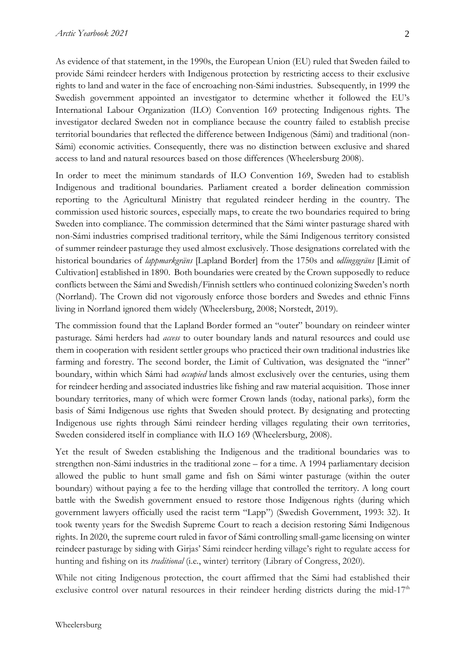As evidence of that statement, in the 1990s, the European Union (EU) ruled that Sweden failed to provide Sámi reindeer herders with Indigenous protection by restricting access to their exclusive rights to land and water in the face of encroaching non-Sámi industries. Subsequently, in 1999 the Swedish government appointed an investigator to determine whether it followed the EU's International Labour Organization (ILO) Convention 169 protecting Indigenous rights. The investigator declared Sweden not in compliance because the country failed to establish precise territorial boundaries that reflected the difference between Indigenous (Sámi) and traditional (non-Sámi) economic activities. Consequently, there was no distinction between exclusive and shared access to land and natural resources based on those differences (Wheelersburg 2008).

In order to meet the minimum standards of ILO Convention 169, Sweden had to establish Indigenous and traditional boundaries. Parliament created a border delineation commission reporting to the Agricultural Ministry that regulated reindeer herding in the country. The commission used historic sources, especially maps, to create the two boundaries required to bring Sweden into compliance. The commission determined that the Sámi winter pasturage shared with non-Sámi industries comprised traditional territory, while the Sámi Indigenous territory consisted of summer reindeer pasturage they used almost exclusively. Those designations correlated with the historical boundaries of *lappmarkgräns* [Lapland Border] from the 1750s and *odlingsgräns* [Limit of Cultivation] established in 1890. Both boundaries were created by the Crown supposedly to reduce conflicts between the Sámi and Swedish/Finnish settlers who continued colonizing Sweden's north (Norrland). The Crown did not vigorously enforce those borders and Swedes and ethnic Finns living in Norrland ignored them widely (Wheelersburg, 2008; Norstedt, 2019).

The commission found that the Lapland Border formed an "outer" boundary on reindeer winter pasturage. Sámi herders had *access* to outer boundary lands and natural resources and could use them in cooperation with resident settler groups who practiced their own traditional industries like farming and forestry. The second border, the Limit of Cultivation, was designated the "inner" boundary, within which Sámi had *occupied* lands almost exclusively over the centuries, using them for reindeer herding and associated industries like fishing and raw material acquisition. Those inner boundary territories, many of which were former Crown lands (today, national parks), form the basis of Sámi Indigenous use rights that Sweden should protect. By designating and protecting Indigenous use rights through Sámi reindeer herding villages regulating their own territories, Sweden considered itself in compliance with ILO 169 (Wheelersburg, 2008).

Yet the result of Sweden establishing the Indigenous and the traditional boundaries was to strengthen non-Sámi industries in the traditional zone – for a time. A 1994 parliamentary decision allowed the public to hunt small game and fish on Sámi winter pasturage (within the outer boundary) without paying a fee to the herding village that controlled the territory. A long court battle with the Swedish government ensued to restore those Indigenous rights (during which government lawyers officially used the racist term "Lapp") (Swedish Government, 1993: 32). It took twenty years for the Swedish Supreme Court to reach a decision restoring Sámi Indigenous rights. In 2020, the supreme court ruled in favor of Sámi controlling small-game licensing on winter reindeer pasturage by siding with Girjas' Sámi reindeer herding village's right to regulate access for hunting and fishing on its *traditional* (i.e., winter) territory (Library of Congress, 2020).

While not citing Indigenous protection, the court affirmed that the Sámi had established their exclusive control over natural resources in their reindeer herding districts during the mid-17<sup>th</sup>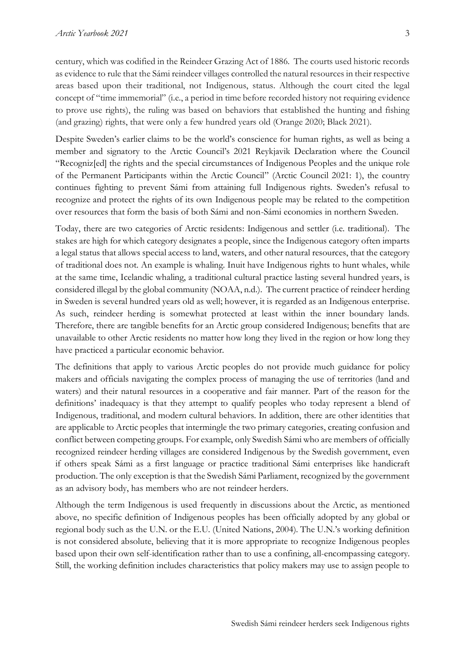century, which was codified in the Reindeer Grazing Act of 1886. The courts used historic records as evidence to rule that the Sámi reindeer villages controlled the natural resources in their respective areas based upon their traditional, not Indigenous, status. Although the court cited the legal concept of "time immemorial" (i.e., a period in time before recorded history not requiring evidence to prove use rights), the ruling was based on behaviors that established the hunting and fishing (and grazing) rights, that were only a few hundred years old (Orange 2020; Black 2021).

Despite Sweden's earlier claims to be the world's conscience for human rights, as well as being a member and signatory to the Arctic Council's 2021 Reykjavik Declaration where the Council "Recogniz[ed] the rights and the special circumstances of Indigenous Peoples and the unique role of the Permanent Participants within the Arctic Council" (Arctic Council 2021: 1), the country continues fighting to prevent Sámi from attaining full Indigenous rights. Sweden's refusal to recognize and protect the rights of its own Indigenous people may be related to the competition over resources that form the basis of both Sámi and non-Sámi economies in northern Sweden.

Today, there are two categories of Arctic residents: Indigenous and settler (i.e. traditional). The stakes are high for which category designates a people, since the Indigenous category often imparts a legal status that allows special access to land, waters, and other natural resources, that the category of traditional does not. An example is whaling. Inuit have Indigenous rights to hunt whales, while at the same time, Icelandic whaling, a traditional cultural practice lasting several hundred years, is considered illegal by the global community (NOAA, n.d.). The current practice of reindeer herding in Sweden is several hundred years old as well; however, it is regarded as an Indigenous enterprise. As such, reindeer herding is somewhat protected at least within the inner boundary lands. Therefore, there are tangible benefits for an Arctic group considered Indigenous; benefits that are unavailable to other Arctic residents no matter how long they lived in the region or how long they have practiced a particular economic behavior.

The definitions that apply to various Arctic peoples do not provide much guidance for policy makers and officials navigating the complex process of managing the use of territories (land and waters) and their natural resources in a cooperative and fair manner. Part of the reason for the definitions' inadequacy is that they attempt to qualify peoples who today represent a blend of Indigenous, traditional, and modern cultural behaviors. In addition, there are other identities that are applicable to Arctic peoples that intermingle the two primary categories, creating confusion and conflict between competing groups. For example, only Swedish Sámi who are members of officially recognized reindeer herding villages are considered Indigenous by the Swedish government, even if others speak Sámi as a first language or practice traditional Sámi enterprises like handicraft production. The only exception is that the Swedish Sámi Parliament, recognized by the government as an advisory body, has members who are not reindeer herders.

Although the term Indigenous is used frequently in discussions about the Arctic, as mentioned above, no specific definition of Indigenous peoples has been officially adopted by any global or regional body such as the U.N. or the E.U. (United Nations, 2004). The U.N.'s working definition is not considered absolute, believing that it is more appropriate to recognize Indigenous peoples based upon their own self-identification rather than to use a confining, all-encompassing category. Still, the working definition includes characteristics that policy makers may use to assign people to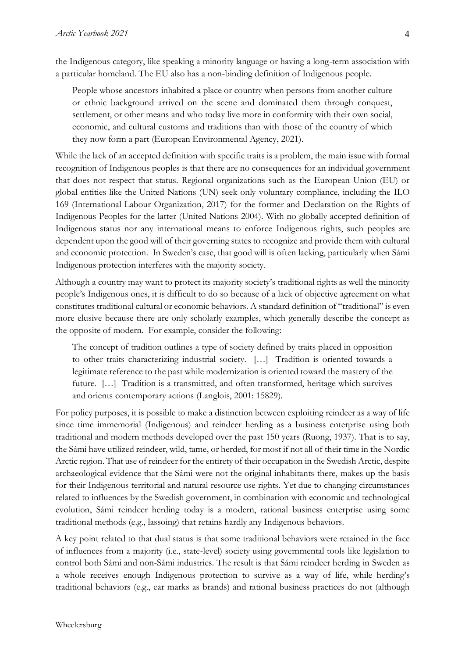the Indigenous category, like speaking a minority language or having a long-term association with a particular homeland. The EU also has a non-binding definition of Indigenous people.

People whose ancestors inhabited a place or country when persons from another culture or ethnic background arrived on the scene and dominated them through conquest, settlement, or other means and who today live more in conformity with their own social, economic, and cultural customs and traditions than with those of the country of which they now form a part (European Environmental Agency, 2021).

While the lack of an accepted definition with specific traits is a problem, the main issue with formal recognition of Indigenous peoples is that there are no consequences for an individual government that does not respect that status. Regional organizations such as the European Union (EU) or global entities like the United Nations (UN) seek only voluntary compliance, including the ILO 169 (International Labour Organization, 2017) for the former and Declaration on the Rights of Indigenous Peoples for the latter (United Nations 2004). With no globally accepted definition of Indigenous status nor any international means to enforce Indigenous rights, such peoples are dependent upon the good will of their governing states to recognize and provide them with cultural and economic protection. In Sweden's case, that good will is often lacking, particularly when Sámi Indigenous protection interferes with the majority society.

Although a country may want to protect its majority society's traditional rights as well the minority people's Indigenous ones, it is difficult to do so because of a lack of objective agreement on what constitutes traditional cultural or economic behaviors. A standard definition of "traditional" is even more elusive because there are only scholarly examples, which generally describe the concept as the opposite of modern. For example, consider the following:

The concept of tradition outlines a type of society defined by traits placed in opposition to other traits characterizing industrial society. […] Tradition is oriented towards a legitimate reference to the past while modernization is oriented toward the mastery of the future. […] Tradition is a transmitted, and often transformed, heritage which survives and orients contemporary actions (Langlois, 2001: 15829).

For policy purposes, it is possible to make a distinction between exploiting reindeer as a way of life since time immemorial (Indigenous) and reindeer herding as a business enterprise using both traditional and modern methods developed over the past 150 years (Ruong, 1937). That is to say, the Sámi have utilized reindeer, wild, tame, or herded, for most if not all of their time in the Nordic Arctic region. That use of reindeer for the entirety of their occupation in the Swedish Arctic, despite archaeological evidence that the Sámi were not the original inhabitants there, makes up the basis for their Indigenous territorial and natural resource use rights. Yet due to changing circumstances related to influences by the Swedish government, in combination with economic and technological evolution, Sámi reindeer herding today is a modern, rational business enterprise using some traditional methods (e.g., lassoing) that retains hardly any Indigenous behaviors.

A key point related to that dual status is that some traditional behaviors were retained in the face of influences from a majority (i.e., state-level) society using governmental tools like legislation to control both Sámi and non-Sámi industries. The result is that Sámi reindeer herding in Sweden as a whole receives enough Indigenous protection to survive as a way of life, while herding's traditional behaviors (e.g., ear marks as brands) and rational business practices do not (although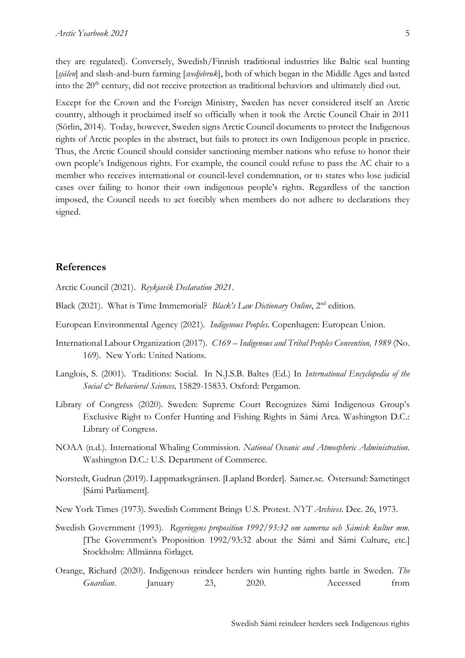they are regulated). Conversely, Swedish/Finnish traditional industries like Baltic seal hunting [*själen*] and slash-and-burn farming [*svedjebruk*], both of which began in the Middle Ages and lasted into the 20<sup>th</sup> century, did not receive protection as traditional behaviors and ultimately died out.

Except for the Crown and the Foreign Ministry, Sweden has never considered itself an Arctic country, although it proclaimed itself so officially when it took the Arctic Council Chair in 2011 (Sörlin, 2014). Today, however, Sweden signs Arctic Council documents to protect the Indigenous rights of Arctic peoples in the abstract, but fails to protect its own Indigenous people in practice. Thus, the Arctic Council should consider sanctioning member nations who refuse to honor their own people's Indigenous rights. For example, the council could refuse to pass the AC chair to a member who receives international or council-level condemnation, or to states who lose judicial cases over failing to honor their own indigenous people's rights. Regardless of the sanction imposed, the Council needs to act forcibly when members do not adhere to declarations they signed.

## **References**

Arctic Council (2021). *Reykjavík Declaration 2021*.

- Black (2021). What is Time Immemorial? *Black's Law Dictionary Online*, 2nd edition.
- European Environmental Agency (2021). *Indigenous Peoples*. Copenhagen: European Union.
- International Labour Organization (2017). *C169 – Indigenous and Tribal Peoples Convention, 1989* (No. 169). New York: United Nations.
- Langlois, S. (2001). Traditions: Social. In N.J.S.B. Baltes (Ed.) In *International Encyclopedia of the Social & Behavioral Sciences,* 15829-15833. Oxford: Pergamon.
- Library of Congress (2020). Sweden: Supreme Court Recognizes Sámi Indigenous Group's Exclusive Right to Confer Hunting and Fishing Rights in Sámi Area. Washington D.C.: Library of Congress.
- NOAA (n.d.). International Whaling Commission. *National Oceanic and Atmospheric Administration.*  Washington D.C.: U.S. Department of Commerce.
- Norstedt, Gudrun (2019). Lappmarksgränsen. [Lapland Border]. Samer.se. Östersund: Sametinget [Sámi Parliament].
- New York Times (1973). Swedish Comment Brings U.S. Protest. *NYT Archives*. Dec. 26, 1973.
- Swedish Government (1993). *Regeringens proposition 1992/93:32 om samerna och Sámisk kultur mm.* [The Government's Proposition 1992/93:32 about the Sámi and Sámi Culture, etc.] Stockholm: Allmänna förlaget.
- Orange, Richard (2020). Indigenous reindeer herders win hunting rights battle in Sweden. *The Guardian*. January 23, 2020. Accessed from